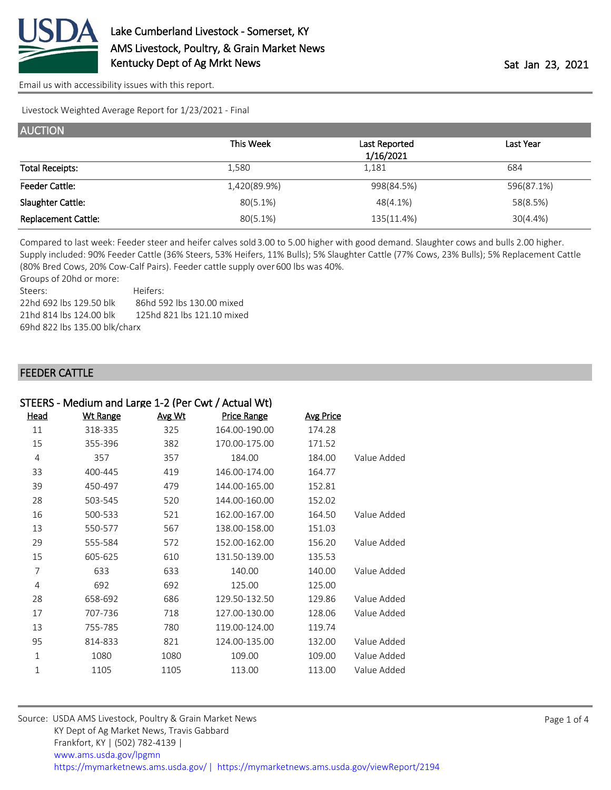

Livestock Weighted Average Report for 1/23/2021 - Final

| <b>AUCTION</b>             |              |               |            |  |  |  |
|----------------------------|--------------|---------------|------------|--|--|--|
|                            | This Week    | Last Reported | Last Year  |  |  |  |
|                            |              | 1/16/2021     |            |  |  |  |
| <b>Total Receipts:</b>     | 1.580        | 1,181         | 684        |  |  |  |
| <b>Feeder Cattle:</b>      | 1,420(89.9%) | 998(84.5%)    | 596(87.1%) |  |  |  |
| Slaughter Cattle:          | 80(5.1%)     | 48(4.1%)      | 58(8.5%)   |  |  |  |
| <b>Replacement Cattle:</b> | 80(5.1%)     | 135(11.4%)    | 30(4.4% )  |  |  |  |

Compared to last week: Feeder steer and heifer calves sold 3.00 to 5.00 higher with good demand. Slaughter cows and bulls 2.00 higher. Supply included: 90% Feeder Cattle (36% Steers, 53% Heifers, 11% Bulls); 5% Slaughter Cattle (77% Cows, 23% Bulls); 5% Replacement Cattle (80% Bred Cows, 20% Cow-Calf Pairs). Feeder cattle supply over 600 lbs was 40%.

Groups of 20hd or more: Steers: Heifers: 22hd 692 lbs 129.50 blk 86hd 592 lbs 130.00 mixed 125hd 821 lbs 121.10 mixed 21hd 814 lbs 124.00 blk 69hd 822 lbs 135.00 blk/charx

### **FEEDER CATTLE**

|              | STEERS - Medium and Large 1-2 (Per Cwt / Actual Wt) |        |                    |                  |             |
|--------------|-----------------------------------------------------|--------|--------------------|------------------|-------------|
| Head         | <b>Wt Range</b>                                     | Avg Wt | <b>Price Range</b> | <b>Avg Price</b> |             |
| 11           | 318-335                                             | 325    | 164.00-190.00      | 174.28           |             |
| 15           | 355-396                                             | 382    | 170.00-175.00      | 171.52           |             |
| 4            | 357                                                 | 357    | 184.00             | 184.00           | Value Added |
| 33           | 400-445                                             | 419    | 146.00-174.00      | 164.77           |             |
| 39           | 450-497                                             | 479    | 144.00-165.00      | 152.81           |             |
| 28           | 503-545                                             | 520    | 144.00-160.00      | 152.02           |             |
| 16           | 500-533                                             | 521    | 162.00-167.00      | 164.50           | Value Added |
| 13           | 550-577                                             | 567    | 138.00-158.00      | 151.03           |             |
| 29           | 555-584                                             | 572    | 152.00-162.00      | 156.20           | Value Added |
| 15           | 605-625                                             | 610    | 131.50-139.00      | 135.53           |             |
| 7            | 633                                                 | 633    | 140.00             | 140.00           | Value Added |
| 4            | 692                                                 | 692    | 125.00             | 125.00           |             |
| 28           | 658-692                                             | 686    | 129.50-132.50      | 129.86           | Value Added |
| 17           | 707-736                                             | 718    | 127.00-130.00      | 128.06           | Value Added |
| 13           | 755-785                                             | 780    | 119.00-124.00      | 119.74           |             |
| 95           | 814-833                                             | 821    | 124.00-135.00      | 132.00           | Value Added |
| $\mathbf{1}$ | 1080                                                | 1080   | 109.00             | 109.00           | Value Added |
| 1            | 1105                                                | 1105   | 113.00             | 113.00           | Value Added |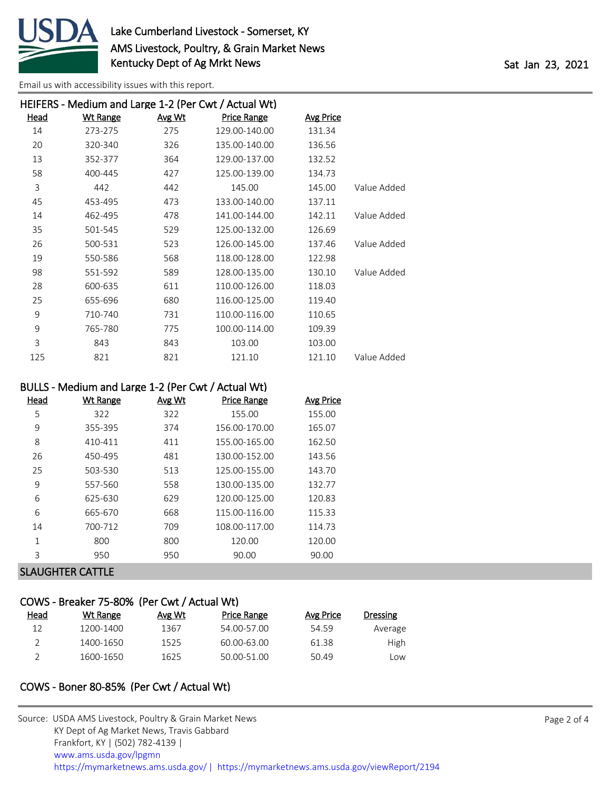

|      |                 |        | HEIFERS - Medium and Large 1-2 (Per Cwt / Actual Wt) |                  |             |
|------|-----------------|--------|------------------------------------------------------|------------------|-------------|
| Head | <b>Wt Range</b> | Avg Wt | Price Range                                          | <b>Avg Price</b> |             |
| 14   | 273-275         | 275    | 129.00-140.00                                        | 131.34           |             |
| 20   | 320-340         | 326    | 135.00-140.00                                        | 136.56           |             |
| 13   | 352-377         | 364    | 129.00-137.00                                        | 132.52           |             |
| 58   | 400-445         | 427    | 125.00-139.00                                        | 134.73           |             |
| 3    | 442             | 442    | 145.00                                               | 145.00           | Value Added |
| 45   | 453-495         | 473    | 133.00-140.00                                        | 137.11           |             |
| 14   | 462-495         | 478    | 141.00-144.00                                        | 142.11           | Value Added |
| 35   | 501-545         | 529    | 125.00-132.00                                        | 126.69           |             |
| 26   | 500-531         | 523    | 126.00-145.00                                        | 137.46           | Value Added |
| 19   | 550-586         | 568    | 118.00-128.00                                        | 122.98           |             |
| 98   | 551-592         | 589    | 128.00-135.00                                        | 130.10           | Value Added |
| 28   | 600-635         | 611    | 110.00-126.00                                        | 118.03           |             |
| 25   | 655-696         | 680    | 116.00-125.00                                        | 119.40           |             |
| 9    | 710-740         | 731    | 110.00-116.00                                        | 110.65           |             |
| 9    | 765-780         | 775    | 100.00-114.00                                        | 109.39           |             |
| 3    | 843             | 843    | 103.00                                               | 103.00           |             |
| 125  | 821             | 821    | 121.10                                               | 121.10           | Value Added |

### BULLS - Medium and Large 1-2 (Per Cwt / Actual Wt)

| Head         | <b>Wt Range</b> | Avg Wt | <b>Price Range</b> | <b>Avg Price</b> |
|--------------|-----------------|--------|--------------------|------------------|
| 5            | 322             | 322    | 155.00             | 155.00           |
| 9            | 355-395         | 374    | 156.00-170.00      | 165.07           |
| 8            | 410-411         | 411    | 155.00-165.00      | 162.50           |
| 26           | 450-495         | 481    | 130.00-152.00      | 143.56           |
| 25           | 503-530         | 513    | 125.00-155.00      | 143.70           |
| 9            | 557-560         | 558    | 130.00-135.00      | 132.77           |
| 6            | 625-630         | 629    | 120.00-125.00      | 120.83           |
| 6            | 665-670         | 668    | 115.00-116.00      | 115.33           |
| 14           | 700-712         | 709    | 108.00-117.00      | 114.73           |
| $\mathbf{1}$ | 800             | 800    | 120.00             | 120.00           |
| 3            | 950             | 950    | 90.00              | 90.00            |
|              |                 |        |                    |                  |

### SLAUGHTER CATTLE

# COWS - Breaker 75-80% (Per Cwt / Actual Wt)

| Head | Wt Range  | Avg Wt | Price Range | Avg Price | Dressing |
|------|-----------|--------|-------------|-----------|----------|
| 12   | 1200-1400 | 1367   | 54.00-57.00 | 54.59     | Average  |
|      | 1400-1650 | 1525   | 60.00-63.00 | 61.38     | High     |
|      | 1600-1650 | 1625   | 50.00-51.00 | 50.49     | LOW      |

## COWS - Boner 80-85% (Per Cwt / Actual Wt)

| Source: USDA AMS Livestock, Poultry & Grain Market News                                |
|----------------------------------------------------------------------------------------|
| KY Dept of Ag Market News, Travis Gabbard                                              |
| Frankfort, KY   (502) 782-4139                                                         |
| www.ams.usda.gov/lpgmn                                                                 |
| https://mymarketnews.ams.usda.gov/   https://mymarketnews.ams.usda.gov/viewReport/2194 |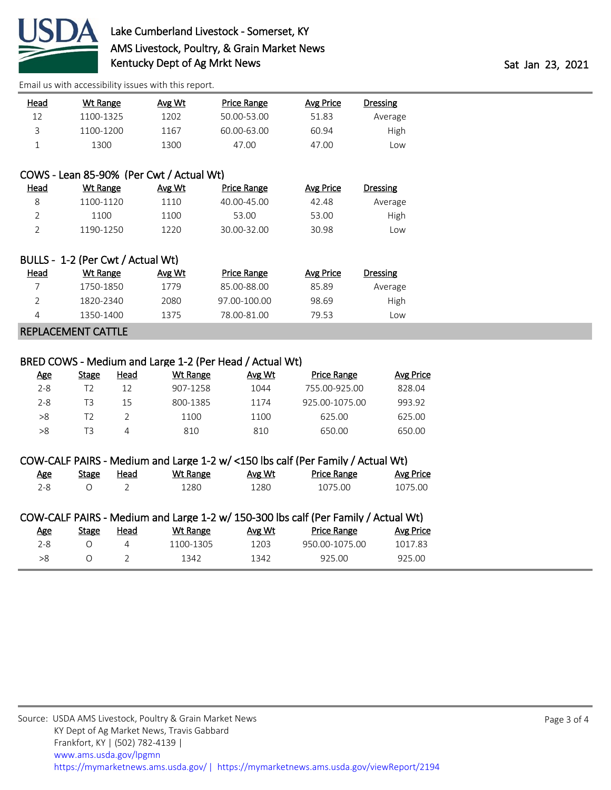

| Head | Wt Range  | Avg Wt | Price Range | Avg Price | Dressing |
|------|-----------|--------|-------------|-----------|----------|
| 12   | 1100-1325 | 1202   | 50.00-53.00 | 51.83     | Average  |
| ₹    | 1100-1200 | 1167   | 60.00-63.00 | 60.94     | High     |
|      | 1300      | 1300   | 47.00       | 47.00     | Low      |

## COWS - Lean 85-90% (Per Cwt / Actual Wt)

| <u>Head</u> | Wt Range  | Avg Wt | Price Range | Avg Price | <b>Dressing</b> |
|-------------|-----------|--------|-------------|-----------|-----------------|
|             | 1100-1120 | 1110   | 40.00-45.00 | 42.48     | Average         |
|             | 1100      | 1100   | 53.00       | 53.00     | High            |
|             | 1190-1250 | 1220   | 30.00-32.00 | 30.98     | LOW             |

|                    | BULLS - 1-2 (Per Cwt / Actual Wt) |        |              |           |                 |  |
|--------------------|-----------------------------------|--------|--------------|-----------|-----------------|--|
| Head               | Wt Range                          | Avg Wt | Price Range  | Avg Price | <b>Dressing</b> |  |
|                    | 1750-1850                         | 1779   | 85.00-88.00  | 85.89     | Average         |  |
|                    | 1820-2340                         | 2080   | 97.00-100.00 | 98.69     | High            |  |
| 4                  | 1350-1400                         | 1375   | 78.00-81.00  | 79.53     | Low             |  |
| REPLACEMENT CATTLE |                                   |        |              |           |                 |  |

### BRED COWS - Medium and Large 1-2 (Per Head / Actual Wt)

| Age     | Stage | Head | Wt Range | Avg Wt | <b>Price Range</b> | Avg Price |
|---------|-------|------|----------|--------|--------------------|-----------|
| $2 - 8$ | 12    | 12   | 907-1258 | 1044   | 755.00-925.00      | 828.04    |
| $2 - 8$ | ТЗ    | 15   | 800-1385 | 1174   | 925.00-1075.00     | 993.92    |
| >8      | 12    |      | 1100     | 1100   | 625.00             | 625.00    |
| >8      | T3    | 4    | 810      | 810    | 650.00             | 650.00    |

### COW-CALF PAIRS - Medium and Large 1-2 w/ <150 lbs calf (Per Family / Actual Wt)

| <u>Age</u> | Stage | Head | Wt Range | Avg Wt | <b>Price Range</b> | Avg Price |
|------------|-------|------|----------|--------|--------------------|-----------|
| $2 - 8$    |       |      | 1280     | 1280   | 1075.00            | 1075.00   |

## COW-CALF PAIRS - Medium and Large 1-2 w/ 150-300 lbs calf (Per Family / Actual Wt)

| <u>Age</u> | Stage | Head | Wt Range  | Avg Wt | <b>Price Range</b> | Avg Price |
|------------|-------|------|-----------|--------|--------------------|-----------|
| 2-8.       |       |      | 1100-1305 | 1203   | 950.00-1075.00     | 1017.83   |
| >8         |       |      | 1342      | 1342   | 925.00             | 925.00    |